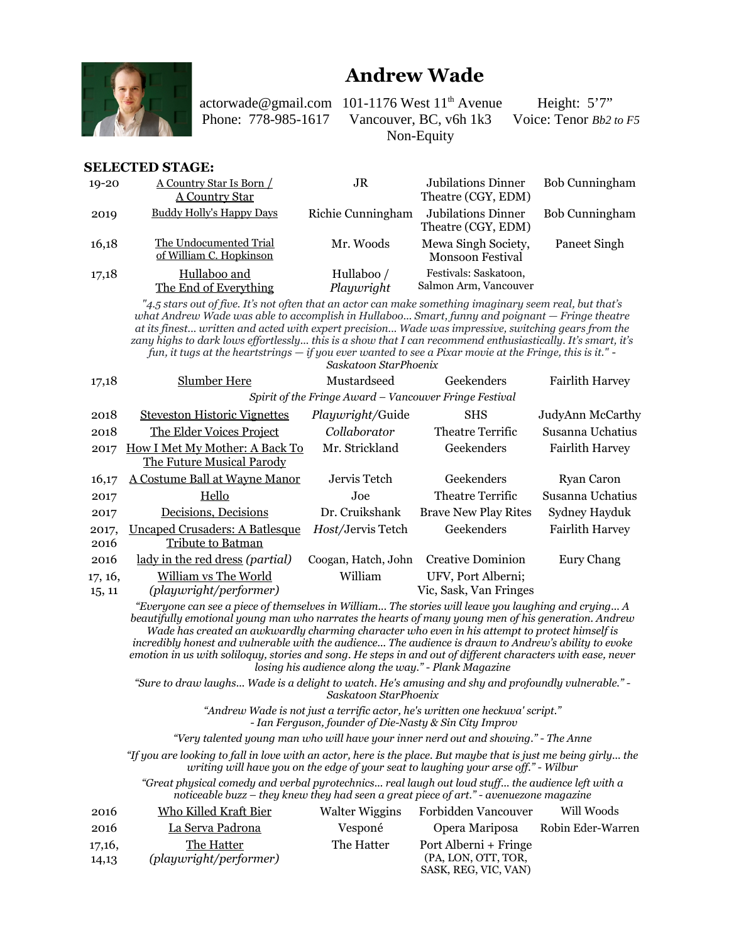

## **Andrew Wade**

actorwade@gmail.com 101-1176 West  $11<sup>th</sup>$  Avenue Height: 5'7" Phone: 778-985-1617 Vancouver, BC, v6h 1k3 Voice: Tenor *Bb2 to F5* Non-Equity

#### **SELECTED STAGE:**

| $19 - 20$ | A Country Star Is Born<br><b>A Country Star</b>   | JR                       | <b>Jubilations Dinner</b><br>Theatre (CGY, EDM) | Bob Cunningham |
|-----------|---------------------------------------------------|--------------------------|-------------------------------------------------|----------------|
| 2019      | <b>Buddy Holly's Happy Days</b>                   | Richie Cunningham        | Jubilations Dinner<br>Theatre (CGY, EDM)        | Bob Cunningham |
| 16,18     | The Undocumented Trial<br>of William C. Hopkinson | Mr. Woods                | Mewa Singh Society,<br><b>Monsoon Festival</b>  | Paneet Singh   |
| 17,18     | Hullaboo and<br>The End of Everything             | Hullaboo /<br>Playwright | Festivals: Saskatoon,<br>Salmon Arm, Vancouver  |                |

*"4.5 stars out of five. It's not often that an actor can make something imaginary seem real, but that's what Andrew Wade was able to accomplish in Hullaboo... Smart, funny and poignant — Fringe theatre at its finest... written and acted with expert precision... Wade was impressive, switching gears from the zany highs to dark lows effortlessly... this is a show that I can recommend enthusiastically. It's smart, it's fun, it tugs at the heartstrings — if you ever wanted to see a Pixar movie at the Fringe, this is it." -*

*Saskatoon StarPhoenix*

| 17,18             | <b>Slumber Here</b>                                                | Mustardseed                                            | Geekenders                                   | <b>Fairlith Harvey</b> |
|-------------------|--------------------------------------------------------------------|--------------------------------------------------------|----------------------------------------------|------------------------|
|                   |                                                                    | Spirit of the Fringe Award - Vancouver Fringe Festival |                                              |                        |
| 2018              | <b>Steveston Historic Vignettes</b>                                | Playwright/Guide                                       | <b>SHS</b>                                   | JudyAnn McCarthy       |
| 2018              | The Elder Voices Project                                           | Collaborator                                           | Theatre Terrific                             | Susanna Uchatius       |
| 2017              | How I Met My Mother: A Back To<br>The Future Musical Parody        | Mr. Strickland                                         | Geekenders                                   | <b>Fairlith Harvey</b> |
| 16,17             | A Costume Ball at Wayne Manor                                      | Jervis Tetch                                           | Geekenders                                   | Ryan Caron             |
| 2017              | Hello                                                              | Joe.                                                   | Theatre Terrific                             | Susanna Uchatius       |
| 2017              | Decisions, Decisions                                               | Dr. Cruikshank                                         | <b>Brave New Play Rites</b>                  | Sydney Hayduk          |
| 2017,<br>2016     | <u> Uncaped Crusaders: A Batlesque</u><br><b>Tribute to Batman</b> | <i>Host/Jervis</i> Tetch                               | Geekenders                                   | <b>Fairlith Harvey</b> |
| 2016              | lady in the red dress (partial)                                    | Coogan, Hatch, John                                    | <b>Creative Dominion</b>                     | Eury Chang             |
| 17, 16,<br>1,5,11 | William vs The World<br>(playwright/performer)                     | William                                                | UFV, Port Alberni;<br>Vic, Sask, Van Fringes |                        |

*"Everyone can see a piece of themselves in William... The stories will leave you laughing and crying... A beautifully emotional young man who narrates the hearts of many young men of his generation. Andrew Wade has created an awkwardly charming character who even in his attempt to protect himself is incredibly honest and vulnerable with the audience... The audience is drawn to Andrew's ability to evoke emotion in us with soliloquy, stories and song. He steps in and out of different characters with ease, never losing his audience along the way." - Plank Magazine*

*"Sure to draw laughs... Wade is a delight to watch. He's amusing and shy and profoundly vulnerable." - Saskatoon StarPhoenix*

*"Andrew Wade is not just a terrific actor, he's written one heckuva' script."*

 *- Ian Ferguson, founder of Die-Nasty & Sin City Improv*

*"Very talented young man who will have your inner nerd out and showing." - The Anne*

*"If you are looking to fall in love with an actor, here is the place. But maybe that is just me being girly... the writing will have you on the edge of your seat to laughing your arse off." - Wilbur*

*"Great physical comedy and verbal pyrotechnics... real laugh out loud stuff... the audience left with a noticeable buzz – they knew they had seen a great piece of art." - avenuezone magazine*

| 2016            | Who Killed Kraft Bier                | <b>Walter Wiggins</b> | Forbidden Vancouver                          | Will Woods        |
|-----------------|--------------------------------------|-----------------------|----------------------------------------------|-------------------|
| 2016            | La Serva Padrona                     | Vesponé               | Opera Mariposa                               | Robin Eder-Warren |
| 17,16,<br>14,13 | The Hatter<br>(playwright/performer) | The Hatter            | Port Alberni + Fringe<br>(PA, LON, OTT, TOR, |                   |
|                 |                                      |                       | SASK, REG, VIC, VAN)                         |                   |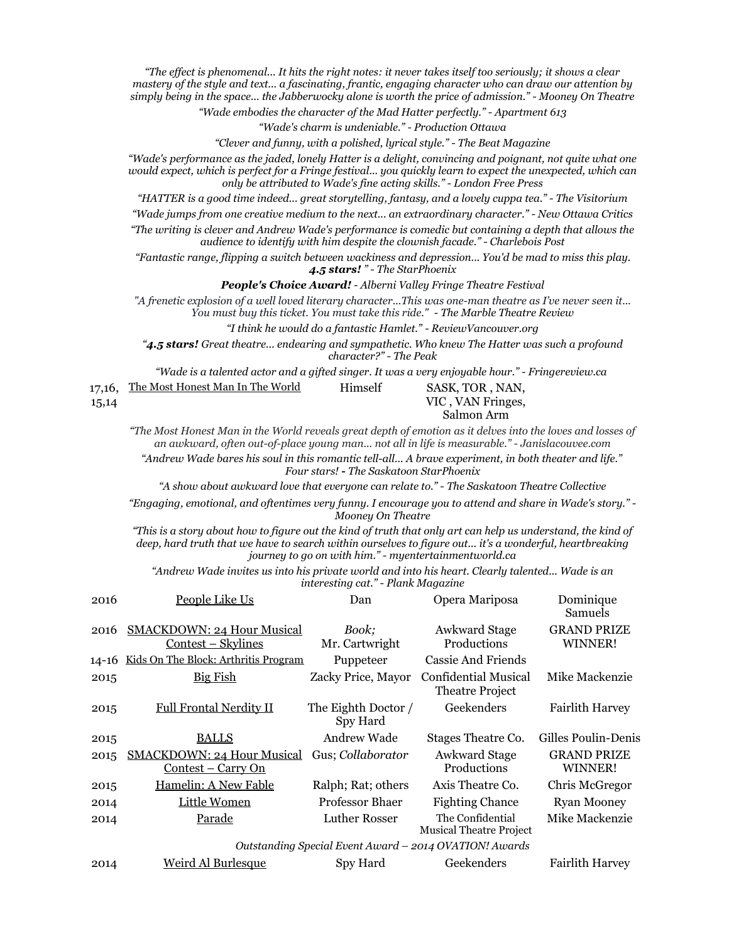*"The effect is phenomenal... It hits the right notes: it never takes itself too seriously; it shows a clear mastery of the style and text... a fascinating, frantic, engaging character who can draw our attention by simply being in the space... the Jabberwocky alone is worth the price of admission." - Mooney On Theatre*

*"Wade embodies the character of the Mad Hatter perfectly." - Apartment 613*

*"Wade's charm is undeniable." - Production Ottawa*

*"Clever and funny, with a polished, lyrical style." - The Beat Magazine*

*"Wade's performance as the jaded, lonely Hatter is a delight, convincing and poignant, not quite what one would expect, which is perfect for a Fringe festival... you quickly learn to expect the unexpected, which can only be attributed to Wade's fine acting skills." - London Free Press*

*"HATTER is a good time indeed... great storytelling, fantasy, and a lovely cuppa tea." - The Visitorium*

*"Wade jumps from one creative medium to the next... an extraordinary character." - New Ottawa Critics "The writing is clever and Andrew Wade's performance is comedic but containing a depth that allows the*

*audience to identify with him despite the clownish facade." - Charlebois Post*

*"Fantastic range, flipping a switch between wackiness and depression... You'd be mad to miss this play. 4.5 stars! " - The StarPhoenix*

*People's Choice Award! - Alberni Valley Fringe Theatre Festival*

*"A frenetic explosion of a well loved literary character...This was one-man theatre as I've never seen it... You must buy this ticket. You must take this ride." - The Marble Theatre Review*

*"I think he would do a fantastic Hamlet." - ReviewVancouver.org*

*"4.5 stars! Great theatre... endearing and sympathetic. Who knew The Hatter was such a profound character?" - The Peak*

*"Wade is a talented actor and a gifted singer. It was a very enjoyable hour." - Fringereview.ca* 

|       | 17,16, The Most Honest Man In The World | Himself | SASK, TOR, NAN,   |
|-------|-----------------------------------------|---------|-------------------|
| 15,14 |                                         |         | VIC, VAN Fringes, |
|       |                                         |         | Salmon Arm        |

*"The Most Honest Man in the World reveals great depth of emotion as it delves into the loves and losses of an awkward, often out-of-place young man... not all in life is measurable." - Janislacouvee.com*

*"Andrew Wade bares his soul in this romantic tell-all... A brave experiment, in both theater and life." Four stars! - The Saskatoon StarPhoenix*

*"A show about awkward love that everyone can relate to." - The Saskatoon Theatre Collective*

*"Engaging, emotional, and oftentimes very funny. I encourage you to attend and share in Wade's story." - Mooney On Theatre*

*"This is a story about how to figure out the kind of truth that only art can help us understand, the kind of deep, hard truth that we have to search within ourselves to figure out... it's a wonderful, heartbreaking journey to go on with him." - myentertainmentworld.ca*

*"Andrew Wade invites us into his private world and into his heart. Clearly talented... Wade is an interesting cat." - Plank Magazine*

| 2016  | People Like Us                                                  | Dan                             | Opera Mariposa                                         | Dominique<br>Samuels          |
|-------|-----------------------------------------------------------------|---------------------------------|--------------------------------------------------------|-------------------------------|
| 2016  | <b>SMACKDOWN: 24 Hour Musical</b><br>Contest – Skylines         | Book;<br>Mr. Cartwright         | <b>Awkward Stage</b><br>Productions                    | <b>GRAND PRIZE</b><br>WINNER! |
| 14-16 | Kids On The Block: Arthritis Program                            | Puppeteer                       | Cassie And Friends                                     |                               |
| 2015  | <b>Big Fish</b>                                                 | Zacky Price, Mayor              | Confidential Musical<br><b>Theatre Project</b>         | Mike Mackenzie                |
| 2015  | <b>Full Frontal Nerdity II</b>                                  | The Eighth Doctor /<br>Spy Hard | Geekenders                                             | <b>Fairlith Harvey</b>        |
| 2015  | <b>BALLS</b>                                                    | Andrew Wade                     | Stages Theatre Co.                                     | Gilles Poulin-Denis           |
| 2015  | <b>SMACKDOWN: 24 Hour Musical</b><br><u> Contest – Carry On</u> | Gus; Collaborator               | <b>Awkward Stage</b><br>Productions                    | <b>GRAND PRIZE</b><br>WINNER! |
| 2015  | Hamelin: A New Fable                                            | Ralph; Rat; others              | Axis Theatre Co.                                       | Chris McGregor                |
| 2014  | Little Women                                                    | Professor Bhaer                 | <b>Fighting Chance</b>                                 | <b>Ryan Mooney</b>            |
| 2014  | Parade                                                          | Luther Rosser                   | The Confidential<br><b>Musical Theatre Project</b>     | Mike Mackenzie                |
|       |                                                                 |                                 | Outstanding Special Event Award - 2014 OVATION! Awards |                               |
| 2014  | <b>Weird Al Burlesque</b>                                       | Spy Hard                        | Geekenders                                             | <b>Fairlith Harvey</b>        |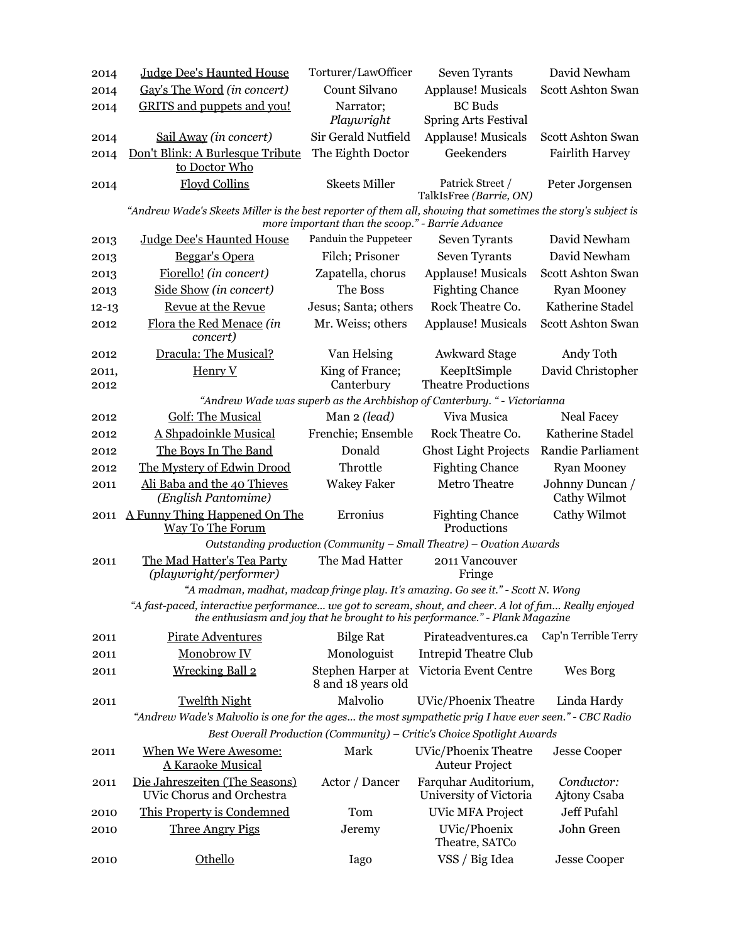| 2014          | Judge Dee's Haunted House                                                                                    | Torturer/LawOfficer                              | Seven Tyrants                                                                | David Newham                    |
|---------------|--------------------------------------------------------------------------------------------------------------|--------------------------------------------------|------------------------------------------------------------------------------|---------------------------------|
| 2014          | Gay's The Word (in concert)                                                                                  | Count Silvano                                    | <b>Applause! Musicals</b>                                                    | Scott Ashton Swan               |
| 2014          | <b>GRITS</b> and puppets and you!                                                                            | Narrator;<br>Playwright                          | <b>BC</b> Buds<br><b>Spring Arts Festival</b>                                |                                 |
| 2014          | Sail Away (in concert)                                                                                       | Sir Gerald Nutfield                              | <b>Applause! Musicals</b>                                                    | Scott Ashton Swan               |
| 2014          | Don't Blink: A Burlesque Tribute<br>to Doctor Who                                                            | The Eighth Doctor                                | Geekenders                                                                   | <b>Fairlith Harvey</b>          |
| 2014          | <b>Floyd Collins</b>                                                                                         | <b>Skeets Miller</b>                             | Patrick Street /<br>TalkIsFree (Barrie, ON)                                  | Peter Jorgensen                 |
|               | "Andrew Wade's Skeets Miller is the best reporter of them all, showing that sometimes the story's subject is | more important than the scoop." - Barrie Advance |                                                                              |                                 |
| 2013          | <b>Judge Dee's Haunted House</b>                                                                             | Panduin the Puppeteer                            | Seven Tyrants                                                                | David Newham                    |
| 2013          | Beggar's Opera                                                                                               | Filch; Prisoner                                  | Seven Tyrants                                                                | David Newham                    |
| 2013          | Fiorello! (in concert)                                                                                       | Zapatella, chorus                                | <b>Applause! Musicals</b>                                                    | Scott Ashton Swan               |
| 2013          | Side Show (in concert)                                                                                       | The Boss                                         | <b>Fighting Chance</b>                                                       | <b>Ryan Mooney</b>              |
| $12 - 13$     | Revue at the Revue                                                                                           | Jesus; Santa; others                             | Rock Theatre Co.                                                             | Katherine Stadel                |
| 2012          | Flora the Red Menace (in<br>concert)                                                                         | Mr. Weiss; others                                | Applause! Musicals                                                           | Scott Ashton Swan               |
| 2012          | Dracula: The Musical?                                                                                        | Van Helsing                                      | <b>Awkward Stage</b>                                                         | Andy Toth                       |
| 2011,<br>2012 | Henry V                                                                                                      | King of France;<br>Canterbury                    | KeepItSimple<br><b>Theatre Productions</b>                                   | David Christopher               |
|               |                                                                                                              |                                                  | "Andrew Wade was superb as the Archbishop of Canterbury. " - Victorianna     |                                 |
| 2012          | <b>Golf: The Musical</b>                                                                                     | Man 2 (lead)                                     | Viva Musica                                                                  | <b>Neal Facey</b>               |
| 2012          | A Shpadoinkle Musical                                                                                        | Frenchie; Ensemble                               | Rock Theatre Co.                                                             | Katherine Stadel                |
| 2012          | The Boys In The Band                                                                                         | Donald                                           | <b>Ghost Light Projects</b>                                                  | Randie Parliament               |
| 2012          | The Mystery of Edwin Drood                                                                                   | Throttle                                         | <b>Fighting Chance</b>                                                       | <b>Ryan Mooney</b>              |
| 2011          | Ali Baba and the 40 Thieves<br>(English Pantomime)                                                           | <b>Wakey Faker</b>                               | <b>Metro Theatre</b>                                                         | Johnny Duncan /<br>Cathy Wilmot |
| 2011          | A Funny Thing Happened On The<br>Way To The Forum                                                            | Erronius                                         | <b>Fighting Chance</b><br>Productions                                        | Cathy Wilmot                    |
|               |                                                                                                              |                                                  | Outstanding production (Community - Small Theatre) - Ovation Awards          |                                 |
| 2011          | The Mad Hatter's Tea Party<br>(playwright/performer)                                                         | The Mad Hatter                                   | 2011 Vancouver<br>Fringe                                                     |                                 |
|               | "A madman, madhat, madcap fringe play. It's amazing. Go see it." - Scott N. Wong                             |                                                  |                                                                              |                                 |
|               | "A fast-paced, interactive performance we got to scream, shout, and cheer. A lot of fun Really enjoyed       |                                                  | the enthusiasm and joy that he brought to his performance." - Plank Magazine |                                 |
| 2011          | <b>Pirate Adventures</b>                                                                                     | <b>Bilge Rat</b>                                 | Pirateadventures.ca                                                          | Cap'n Terrible Terry            |
| 2011          | Monobrow IV                                                                                                  | Monologuist                                      | <b>Intrepid Theatre Club</b>                                                 |                                 |
| 2011          | <b>Wrecking Ball 2</b>                                                                                       | Stephen Harper at<br>8 and 18 years old          | Victoria Event Centre                                                        | Wes Borg                        |
| 2011          | <b>Twelfth Night</b>                                                                                         | Malvolio                                         | <b>UVic/Phoenix Theatre</b>                                                  | Linda Hardy                     |
|               | "Andrew Wade's Malvolio is one for the ages the most sympathetic prig I have ever seen." - CBC Radio         |                                                  |                                                                              |                                 |
|               |                                                                                                              |                                                  | Best Overall Production (Community) - Critic's Choice Spotlight Awards       |                                 |
| 2011          | When We Were Awesome:<br><b>A Karaoke Musical</b>                                                            | Mark                                             | UVic/Phoenix Theatre<br><b>Auteur Project</b>                                | <b>Jesse Cooper</b>             |
| 2011          | Die Jahreszeiten (The Seasons)<br>UVic Chorus and Orchestra                                                  | Actor / Dancer                                   | Farquhar Auditorium,<br>University of Victoria                               | Conductor:<br>Ajtony Csaba      |
| 2010          | This Property is Condemned                                                                                   | Tom                                              | <b>UVic MFA Project</b>                                                      | Jeff Pufahl                     |
| 2010          | <b>Three Angry Pigs</b>                                                                                      | Jeremy                                           | UVic/Phoenix<br>Theatre, SATCo                                               | John Green                      |
| 2010          | Othello                                                                                                      | Iago                                             | VSS / Big Idea                                                               | <b>Jesse Cooper</b>             |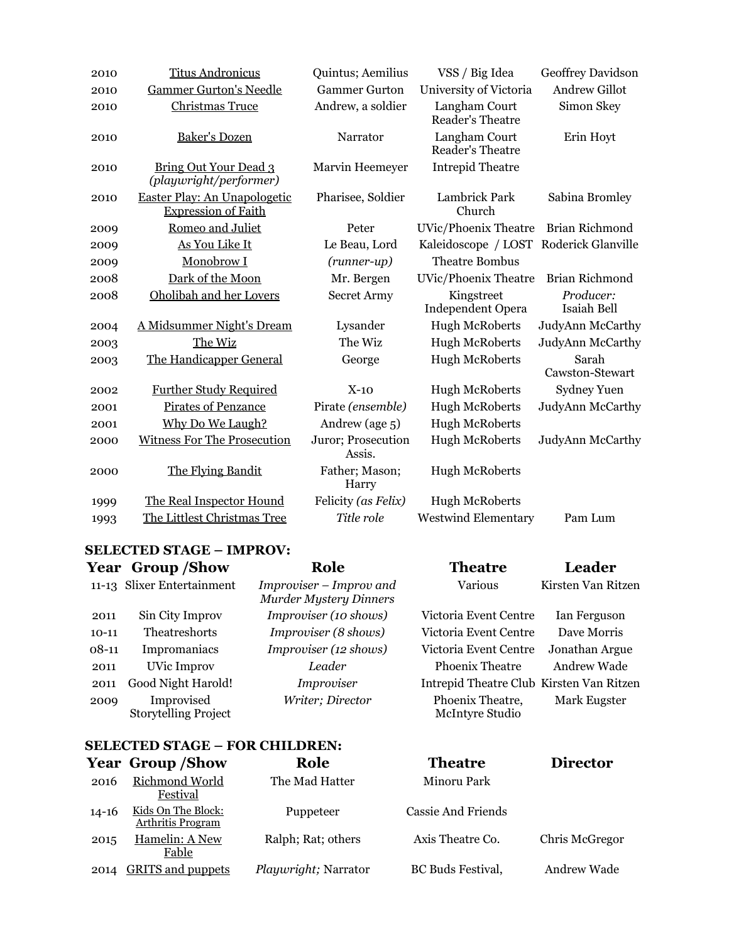| 2010 | <b>Titus Andronicus</b>                                    | Quintus; Aemilius            | VSS / Big Idea                           | Geoffrey Davidson        |
|------|------------------------------------------------------------|------------------------------|------------------------------------------|--------------------------|
| 2010 | <b>Gammer Gurton's Needle</b>                              | <b>Gammer Gurton</b>         | University of Victoria                   | <b>Andrew Gillot</b>     |
| 2010 | <b>Christmas Truce</b>                                     | Andrew, a soldier            | Langham Court<br><b>Reader's Theatre</b> | Simon Skey               |
| 2010 | Baker's Dozen                                              | Narrator                     | Langham Court<br>Reader's Theatre        | Erin Hoyt                |
| 2010 | <b>Bring Out Your Dead 3</b><br>(playwright/performer)     | Marvin Heemeyer              | <b>Intrepid Theatre</b>                  |                          |
| 2010 | Easter Play: An Unapologetic<br><b>Expression of Faith</b> | Pharisee, Soldier            | Lambrick Park<br>Church                  | Sabina Bromley           |
| 2009 | Romeo and Juliet                                           | Peter                        | <b>UVic/Phoenix Theatre</b>              | Brian Richmond           |
| 2009 | As You Like It                                             | Le Beau, Lord                | Kaleidoscope / LOST                      | Roderick Glanville       |
| 2009 | Monobrow I                                                 | $(runner-up)$                | <b>Theatre Bombus</b>                    |                          |
| 2008 | Dark of the Moon                                           | Mr. Bergen                   | <b>UVic/Phoenix Theatre</b>              | Brian Richmond           |
| 2008 | Oholibah and her Lovers                                    | <b>Secret Army</b>           | Kingstreet<br><b>Independent Opera</b>   | Producer:<br>Isaiah Bell |
| 2004 | A Midsummer Night's Dream                                  | Lysander                     | <b>Hugh McRoberts</b>                    | JudyAnn McCarthy         |
| 2003 | The Wiz                                                    | The Wiz                      | <b>Hugh McRoberts</b>                    | JudyAnn McCarthy         |
| 2003 | The Handicapper General                                    | George                       | <b>Hugh McRoberts</b>                    | Sarah<br>Cawston-Stewart |
| 2002 | <b>Further Study Required</b>                              | $X-10$                       | <b>Hugh McRoberts</b>                    | <b>Sydney Yuen</b>       |
| 2001 | <b>Pirates of Penzance</b>                                 | Pirate (ensemble)            | <b>Hugh McRoberts</b>                    | JudyAnn McCarthy         |
| 2001 | Why Do We Laugh?                                           | Andrew (age 5)               | Hugh McRoberts                           |                          |
| 2000 | <b>Witness For The Prosecution</b>                         | Juror; Prosecution<br>Assis. | <b>Hugh McRoberts</b>                    | JudyAnn McCarthy         |
| 2000 | The Flying Bandit                                          | Father; Mason;<br>Harry      | <b>Hugh McRoberts</b>                    |                          |
| 1999 | The Real Inspector Hound                                   | Felicity (as Felix)          | <b>Hugh McRoberts</b>                    |                          |
| 1993 | The Littlest Christmas Tree                                | Title role                   | <b>Westwind Elementary</b>               | Pam Lum                  |

## **SELECTED STAGE – IMPROV:**

|           | <b>Year Group/Show</b>                    | Role                                                     | <b>Theatre</b>                           | Leader             |
|-----------|-------------------------------------------|----------------------------------------------------------|------------------------------------------|--------------------|
|           | 11-13 Slixer Entertainment                | Improviser – Improv and<br><b>Murder Mystery Dinners</b> | Various                                  | Kirsten Van Ritzen |
| 2011      | Sin City Improv                           | Improviser (10 shows)                                    | Victoria Event Centre                    | Ian Ferguson       |
| $10 - 11$ | Theatreshorts                             | Improviser (8 shows)                                     | Victoria Event Centre                    | Dave Morris        |
| $08-11$   | Impromaniacs                              | Improviser (12 shows)                                    | Victoria Event Centre                    | Jonathan Argue     |
| 2011      | <b>UVic Improv</b>                        | Leader                                                   | Phoenix Theatre                          | Andrew Wade        |
| 2011      | Good Night Harold!                        | Improviser                                               | Intrepid Theatre Club Kirsten Van Ritzen |                    |
| 2009      | Improvised<br><b>Storytelling Project</b> | Writer; Director                                         | Phoenix Theatre,<br>McIntyre Studio      | Mark Eugster       |

# **SELECTED STAGE – FOR CHILDREN:**<br>Year Group /Show Pole

|       | <b>Year Group/Show</b>                         | Role                        | <b>Theatre</b>            | <b>Director</b> |
|-------|------------------------------------------------|-----------------------------|---------------------------|-----------------|
| 2016  | Richmond World<br><b>Festival</b>              | The Mad Hatter              | Minoru Park               |                 |
| 14-16 | Kids On The Block:<br><b>Arthritis Program</b> | Puppeteer                   | <b>Cassie And Friends</b> |                 |
| 2015  | Hamelin: A New<br>Fable                        | Ralph; Rat; others          | Axis Theatre Co.          | Chris McGregor  |
| 2014  | <b>GRITS</b> and puppets                       | <i>Playwright; Narrator</i> | <b>BC</b> Buds Festival,  | Andrew Wade     |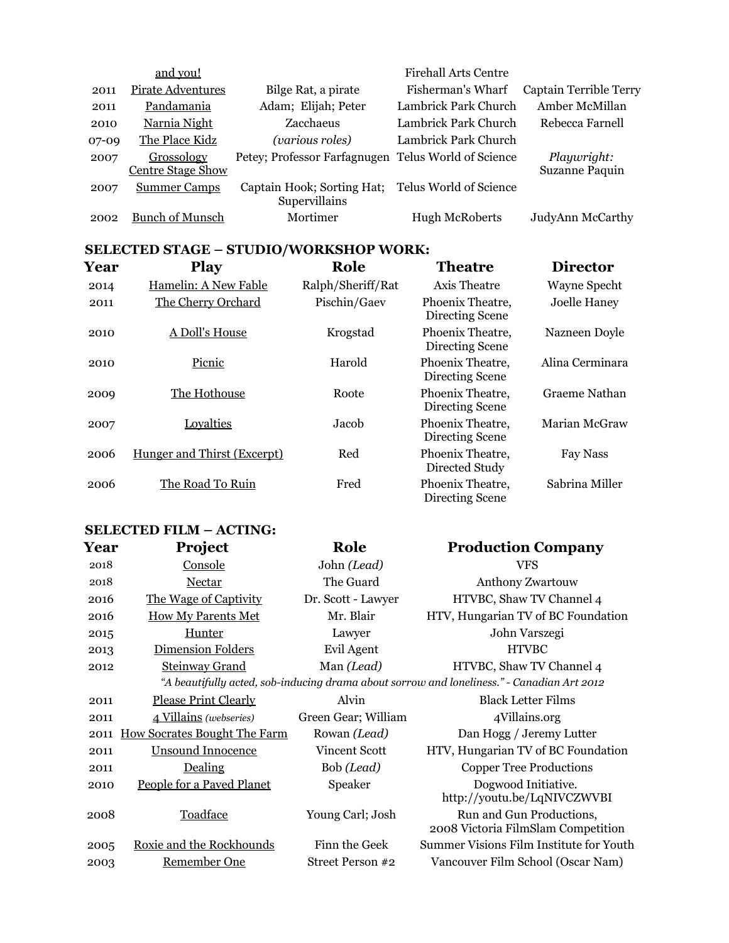|         | and you!                               |                                                     | <b>Firehall Arts Centre</b> |                               |
|---------|----------------------------------------|-----------------------------------------------------|-----------------------------|-------------------------------|
| 2011    | Pirate Adventures                      | Bilge Rat, a pirate                                 | Fisherman's Wharf           | Captain Terrible Terry        |
| 2011    | Pandamania                             | Adam; Elijah; Peter                                 | Lambrick Park Church        | Amber McMillan                |
| 2010    | Narnia Night                           | Zacchaeus                                           | Lambrick Park Church        | Rebecca Farnell               |
| $07-09$ | The Place Kidz                         | <i>(various roles)</i>                              | Lambrick Park Church        |                               |
| 2007    | Grossology<br><b>Centre Stage Show</b> | Petey; Professor Farfagnugen Telus World of Science |                             | Playwright:<br>Suzanne Paquin |
| 2007    | <b>Summer Camps</b>                    | Captain Hook; Sorting Hat;<br>Supervillains         | Telus World of Science      |                               |
| 2002    | <b>Bunch of Munsch</b>                 | Mortimer                                            | <b>Hugh McRoberts</b>       | JudyAnn McCarthy              |

## **SELECTED STAGE – STUDIO/WORKSHOP WORK:**

| Year | <b>Play</b>                 | Role              | <b>Theatre</b>                      | <b>Director</b> |
|------|-----------------------------|-------------------|-------------------------------------|-----------------|
| 2014 | Hamelin: A New Fable        | Ralph/Sheriff/Rat | Axis Theatre                        | Wayne Specht    |
| 2011 | The Cherry Orchard          | Pischin/Gaev      | Phoenix Theatre,<br>Directing Scene | Joelle Haney    |
| 2010 | A Doll's House              | Krogstad          | Phoenix Theatre.<br>Directing Scene | Nazneen Doyle   |
| 2010 | Picnic                      | Harold            | Phoenix Theatre,<br>Directing Scene | Alina Cerminara |
| 2009 | The Hothouse                | Roote             | Phoenix Theatre,<br>Directing Scene | Graeme Nathan   |
| 2007 | Loyalties                   | Jacob             | Phoenix Theatre,<br>Directing Scene | Marian McGraw   |
| 2006 | Hunger and Thirst (Excerpt) | Red               | Phoenix Theatre,<br>Directed Study  | Fay Nass        |
| 2006 | The Road To Ruin            | Fred              | Phoenix Theatre,<br>Directing Scene | Sabrina Miller  |

## **SELECTED FILM – ACTING:**

| Year | Project                             | Role                | <b>Production Company</b>                                                                  |
|------|-------------------------------------|---------------------|--------------------------------------------------------------------------------------------|
| 2018 | Console                             | John (Lead)         | VFS                                                                                        |
| 2018 | Nectar                              | The Guard           | <b>Anthony Zwartouw</b>                                                                    |
| 2016 | The Wage of Captivity               | Dr. Scott - Lawyer  | HTVBC, Shaw TV Channel 4                                                                   |
| 2016 | <b>How My Parents Met</b>           | Mr. Blair           | HTV, Hungarian TV of BC Foundation                                                         |
| 2015 | Hunter                              | Lawyer              | John Varszegi                                                                              |
| 2013 | <b>Dimension Folders</b>            | Evil Agent          | <b>HTVBC</b>                                                                               |
| 2012 | <b>Steinway Grand</b>               | Man (Lead)          | HTVBC, Shaw TV Channel 4                                                                   |
|      |                                     |                     | "A beautifully acted, sob-inducing drama about sorrow and loneliness." - Canadian Art 2012 |
| 2011 | <b>Please Print Clearly</b>         | Alvin               | <b>Black Letter Films</b>                                                                  |
| 2011 | 4 Villains (webseries)              | Green Gear; William | 4Villains.org                                                                              |
| 2011 | <b>How Socrates Bought The Farm</b> | Rowan (Lead)        | Dan Hogg / Jeremy Lutter                                                                   |
| 2011 | <b>Unsound Innocence</b>            | Vincent Scott       | HTV, Hungarian TV of BC Foundation                                                         |
| 2011 | Dealing                             | Bob (Lead)          | <b>Copper Tree Productions</b>                                                             |
| 2010 | People for a Paved Planet           | Speaker             | Dogwood Initiative.<br>http://youtu.be/LqNIVCZWVBI                                         |
| 2008 | Toadface                            | Young Carl; Josh    | Run and Gun Productions,<br>2008 Victoria FilmSlam Competition                             |
| 2005 | Roxie and the Rockhounds            | Finn the Geek       | Summer Visions Film Institute for Youth                                                    |
| 2003 | Remember One                        | Street Person #2    | Vancouver Film School (Oscar Nam)                                                          |
|      |                                     |                     |                                                                                            |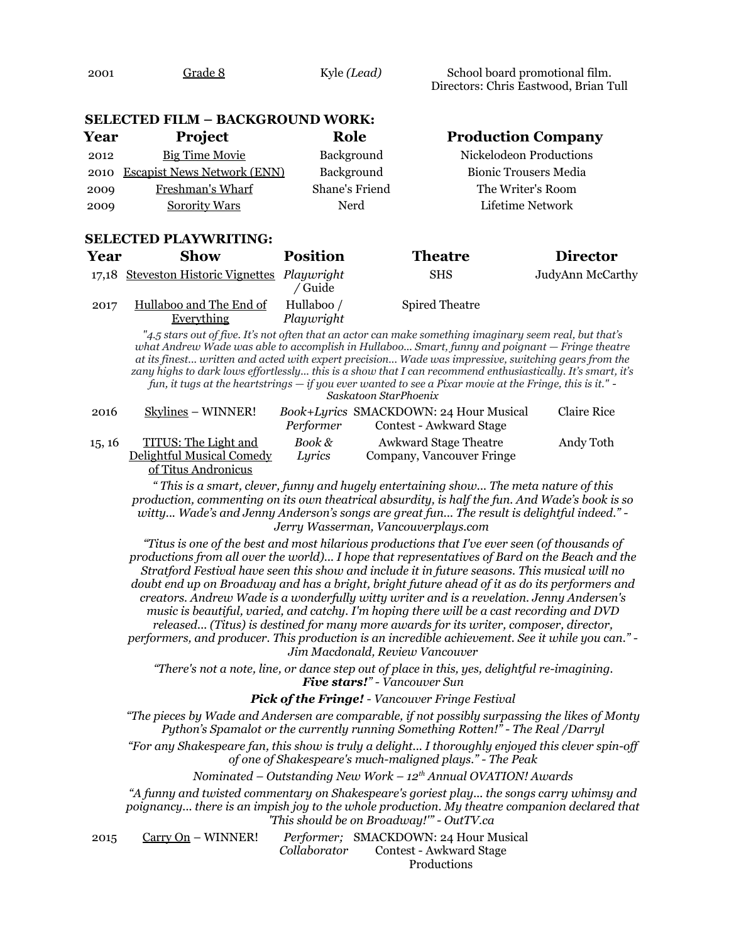| 2001 | Grade 8 | Kyle (Lead) | School board promotional film.        |
|------|---------|-------------|---------------------------------------|
|      |         |             | Directors: Chris Eastwood, Brian Tull |

#### **SELECTED FILM – BACKGROUND WORK:**

| Year | <b>Project</b>                     | Role              | <b>Production Company</b>    |
|------|------------------------------------|-------------------|------------------------------|
| 2012 | <b>Big Time Movie</b>              | <b>Background</b> | Nickelodeon Productions      |
| 2010 | <b>Escapist News Network (ENN)</b> | Background        | <b>Bionic Trousers Media</b> |
| 2009 | Freshman's Wharf                   | Shane's Friend    | The Writer's Room            |
| 2009 | <b>Sorority Wars</b>               | Nerd              | Lifetime Network             |

#### **SELECTED PLAYWRITING:**

| Year | Show                                          | <b>Position</b>          | <b>Theatre</b>        | <b>Director</b>  |
|------|-----------------------------------------------|--------------------------|-----------------------|------------------|
|      | 17,18 Steveston Historic Vignettes Playwright | ' Guide                  | <b>SHS</b>            | JudyAnn McCarthy |
| 2017 | Hullaboo and The End of<br>Everything         | Hullaboo /<br>Playwright | <b>Spired Theatre</b> |                  |

*"4.5 stars out of five. It's not often that an actor can make something imaginary seem real, but that's what Andrew Wade was able to accomplish in Hullaboo... Smart, funny and poignant — Fringe theatre at its finest... written and acted with expert precision... Wade was impressive, switching gears from the zany highs to dark lows effortlessly... this is a show that I can recommend enthusiastically. It's smart, it's fun, it tugs at the heartstrings — if you ever wanted to see a Pixar movie at the Fringe, this is it." - Saskatoon StarPhoenix*

| 2016   | Skylines – WINNER!        |           | <i>Book+Lyrics</i> SMACKDOWN: 24 Hour Musical | Claire Rice |
|--------|---------------------------|-----------|-----------------------------------------------|-------------|
|        |                           | Performer | <b>Contest - Awkward Stage</b>                |             |
| 15, 16 | TITUS: The Light and      | Book &    | <b>Awkward Stage Theatre</b>                  | Andy Toth   |
|        | Delightful Musical Comedy | Lyrics    | Company, Vancouver Fringe                     |             |
|        | of Titus Andronicus       |           |                                               |             |

*" This is a smart, clever, funny and hugely entertaining show... The meta nature of this production, commenting on its own theatrical absurdity, is half the fun. And Wade's book is so witty... Wade's and Jenny Anderson's songs are great fun... The result is delightful indeed." - Jerry Wasserman, Vancouverplays.com* 

*"Titus is one of the best and most hilarious productions that I've ever seen (of thousands of productions from all over the world)... I hope that representatives of Bard on the Beach and the Stratford Festival have seen this show and include it in future seasons. This musical will no doubt end up on Broadway and has a bright, bright future ahead of it as do its performers and creators. Andrew Wade is a wonderfully witty writer and is a revelation. Jenny Andersen's music is beautiful, varied, and catchy. I'm hoping there will be a cast recording and DVD released... (Titus) is destined for many more awards for its writer, composer, director, performers, and producer. This production is an incredible achievement. See it while you can." - Jim Macdonald, Review Vancouver*

*"There's not a note, line, or dance step out of place in this, yes, delightful re-imagining. Five stars!" - Vancouver Sun*

#### *Pick of the Fringe! - Vancouver Fringe Festival*

*"The pieces by Wade and Andersen are comparable, if not possibly surpassing the likes of Monty Python's Spamalot or the currently running Something Rotten!" - The Real /Darryl*

*"For any Shakespeare fan, this show is truly a delight... I thoroughly enjoyed this clever spin-off of one of Shakespeare's much-maligned plays." - The Peak*

*Nominated – Outstanding New Work – 12th Annual OVATION! Awards*

*"A funny and twisted commentary on Shakespeare's goriest play... the songs carry whimsy and poignancy... there is an impish joy to the whole production. My theatre companion declared that 'This should be on Broadway!'" - OutTV.ca* 

2015 Carry On – WINNER! *Collaborator* Performer; SMACKDOWN: 24 Hour Musical Contest - Awkward Stage

Productions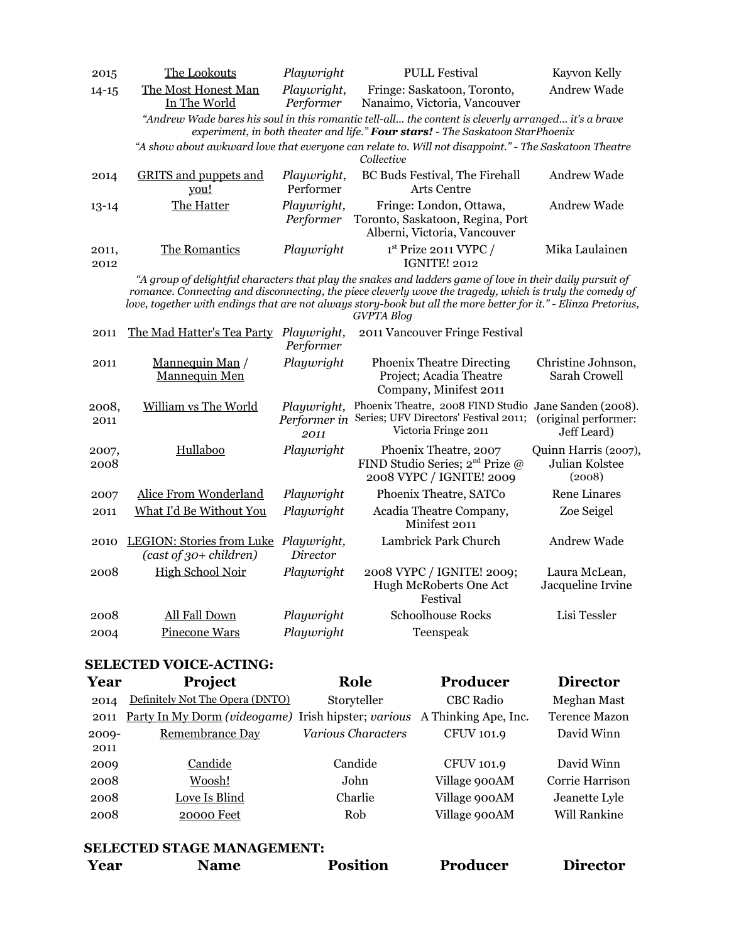| 2015          | The Lookouts                                                      | Playwright                          | <b>PULL Festival</b>                                                                                                                                                                                                                                                                                                                                          | Kayvon Kelly                                               |
|---------------|-------------------------------------------------------------------|-------------------------------------|---------------------------------------------------------------------------------------------------------------------------------------------------------------------------------------------------------------------------------------------------------------------------------------------------------------------------------------------------------------|------------------------------------------------------------|
| $14 - 15$     | The Most Honest Man<br>In The World                               | Playwright,<br>Performer            | Fringe: Saskatoon, Toronto,<br>Nanaimo, Victoria, Vancouver                                                                                                                                                                                                                                                                                                   | Andrew Wade                                                |
|               |                                                                   |                                     | "Andrew Wade bares his soul in this romantic tell-all the content is cleverly arranged it's a brave<br>experiment, in both theater and life." Four stars! - The Saskatoon StarPhoenix                                                                                                                                                                         |                                                            |
|               |                                                                   |                                     | "A show about awkward love that everyone can relate to. Will not disappoint." - The Saskatoon Theatre<br>Collective                                                                                                                                                                                                                                           |                                                            |
| 2014          | <b>GRITS</b> and puppets and<br>you!                              | Playwright,<br>Performer            | BC Buds Festival, The Firehall<br><b>Arts Centre</b>                                                                                                                                                                                                                                                                                                          | Andrew Wade                                                |
| $13 - 14$     | The Hatter                                                        | Playwright,<br>Performer            | Fringe: London, Ottawa,<br>Toronto, Saskatoon, Regina, Port<br>Alberni, Victoria, Vancouver                                                                                                                                                                                                                                                                   | Andrew Wade                                                |
| 2011,<br>2012 | The Romantics                                                     | Playwright                          | $1st$ Prize 2011 VYPC /<br><b>IGNITE! 2012</b>                                                                                                                                                                                                                                                                                                                | Mika Laulainen                                             |
|               |                                                                   |                                     | "A group of delightful characters that play the snakes and ladders game of love in their daily pursuit of<br>romance. Connecting and disconnecting, the piece cleverly wove the tragedy, which is truly the comedy of<br>love, together with endings that are not always story-book but all the more better for it." - Elinza Pretorius,<br><b>GVPTA Blog</b> |                                                            |
| 2011          | The Mad Hatter's Tea Party Playwright,                            | Performer                           | 2011 Vancouver Fringe Festival                                                                                                                                                                                                                                                                                                                                |                                                            |
| 2011          | Mannequin Man /<br>Mannequin Men                                  | Playwright                          | <b>Phoenix Theatre Directing</b><br>Project; Acadia Theatre<br>Company, Minifest 2011                                                                                                                                                                                                                                                                         | Christine Johnson,<br>Sarah Crowell                        |
| 2008,<br>2011 | William vs The World                                              | Playwright,<br>Performer in<br>2011 | Phoenix Theatre, 2008 FIND Studio<br>Series; UFV Directors' Festival 2011;<br>Victoria Fringe 2011                                                                                                                                                                                                                                                            | Jane Sanden (2008).<br>(original performer:<br>Jeff Leard) |
| 2007,<br>2008 | Hullaboo                                                          | Playwright                          | Phoenix Theatre, 2007<br>FIND Studio Series; 2 <sup>nd</sup> Prize @<br>2008 VYPC / IGNITE! 2009                                                                                                                                                                                                                                                              | Quinn Harris (2007),<br>Julian Kolstee<br>(2008)           |
| 2007          | Alice From Wonderland                                             | Playwright                          | Phoenix Theatre, SATCo                                                                                                                                                                                                                                                                                                                                        | <b>Rene Linares</b>                                        |
| 2011          | What I'd Be Without You                                           | Playwright                          | Acadia Theatre Company,<br>Minifest 2011                                                                                                                                                                                                                                                                                                                      | Zoe Seigel                                                 |
| 2010          | LEGION: Stories from Luke Playwright,<br>$(cast of 30+ children)$ | Director                            | Lambrick Park Church                                                                                                                                                                                                                                                                                                                                          | Andrew Wade                                                |
| 2008          | <b>High School Noir</b>                                           | Playwright                          | 2008 VYPC / IGNITE! 2009;<br>Hugh McRoberts One Act<br>Festival                                                                                                                                                                                                                                                                                               | Laura McLean,<br>Jacqueline Irvine                         |
| 2008          | All Fall Down                                                     | Playwright                          | <b>Schoolhouse Rocks</b>                                                                                                                                                                                                                                                                                                                                      | Lisi Tessler                                               |
| 2004          | Pinecone Wars                                                     | Playwright                          | Teenspeak                                                                                                                                                                                                                                                                                                                                                     |                                                            |

## **SELECTED VOICE-ACTING:**

| Definitely Not The Opera (DNTO)<br><b>CBC</b> Radio<br>Storyteller<br>2014<br>Party In My Dorm (videogame) Irish hipster; various<br>A Thinking Ape, Inc.<br>2011<br>Remembrance Day<br>Various Characters<br><b>CFUV 101.9</b><br>$2009 -$<br>2011<br>Candide<br><b>CFUV 101.9</b><br>Candide<br>2009<br>Woosh!<br>Village 900AM<br>John<br>2008<br>Love Is Blind<br>Village 900AM<br>Charlie<br>2008<br>Village 900AM<br>Rob<br><b>20000 Feet</b><br>2008 | Year | <b>Project</b> | Role | Producer | <b>Director</b>      |
|-------------------------------------------------------------------------------------------------------------------------------------------------------------------------------------------------------------------------------------------------------------------------------------------------------------------------------------------------------------------------------------------------------------------------------------------------------------|------|----------------|------|----------|----------------------|
|                                                                                                                                                                                                                                                                                                                                                                                                                                                             |      |                |      |          | Meghan Mast          |
|                                                                                                                                                                                                                                                                                                                                                                                                                                                             |      |                |      |          | <b>Terence Mazon</b> |
|                                                                                                                                                                                                                                                                                                                                                                                                                                                             |      |                |      |          | David Winn           |
|                                                                                                                                                                                                                                                                                                                                                                                                                                                             |      |                |      |          | David Winn           |
|                                                                                                                                                                                                                                                                                                                                                                                                                                                             |      |                |      |          | Corrie Harrison      |
|                                                                                                                                                                                                                                                                                                                                                                                                                                                             |      |                |      |          | Jeanette Lyle        |
|                                                                                                                                                                                                                                                                                                                                                                                                                                                             |      |                |      |          | <b>Will Rankine</b>  |

## **SELECTED STAGE MANAGEMENT:**

| <b>Position</b><br>Year<br><b>Producer</b><br>Name | <b>Director</b> |
|----------------------------------------------------|-----------------|
|----------------------------------------------------|-----------------|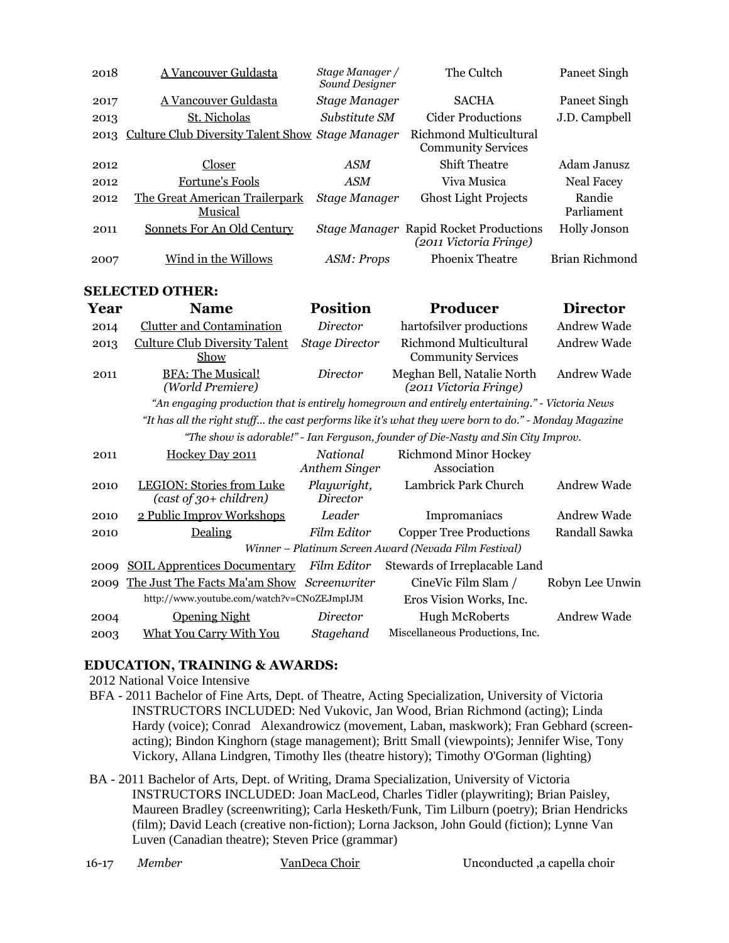| 2018 | A Vancouver Guldasta                             | Stage Manager /<br>Sound Designer | The Cultch                                                              | Paneet Singh         |
|------|--------------------------------------------------|-----------------------------------|-------------------------------------------------------------------------|----------------------|
| 2017 | A Vancouver Guldasta                             | Stage Manager                     | <b>SACHA</b>                                                            | Paneet Singh         |
| 2013 | St. Nicholas                                     | Substitute SM                     | Cider Productions                                                       | J.D. Campbell        |
| 2013 | Culture Club Diversity Talent Show Stage Manager |                                   | Richmond Multicultural<br><b>Community Services</b>                     |                      |
| 2012 | Closer                                           | <b>ASM</b>                        | <b>Shift Theatre</b>                                                    | Adam Janusz          |
| 2012 | Fortune's Fools                                  | <b>ASM</b>                        | Viva Musica                                                             | Neal Facey           |
| 2012 | The Great American Trailerpark<br>Musical        | Stage Manager                     | <b>Ghost Light Projects</b>                                             | Randie<br>Parliament |
| 2011 | Sonnets For An Old Century                       |                                   | <b>Stage Manager Rapid Rocket Productions</b><br>(2011 Victoria Fringe) | Holly Jonson         |
| 2007 | Wind in the Willows                              | ASM: Props                        | <b>Phoenix Theatre</b>                                                  | Brian Richmond       |

### **SELECTED OTHER:**

| Year  | <b>Name</b>                                  | <b>Position</b>           | Producer                                                                                              | <b>Director</b>    |
|-------|----------------------------------------------|---------------------------|-------------------------------------------------------------------------------------------------------|--------------------|
| 2014  | <b>Clutter and Contamination</b>             | Director                  | hartofsilver productions                                                                              | <b>Andrew Wade</b> |
| 2013  | <b>Culture Club Diversity Talent</b><br>Show | <b>Stage Director</b>     | Richmond Multicultural<br><b>Community Services</b>                                                   | Andrew Wade        |
| 2011  | <b>BFA: The Musical!</b><br>(World Premiere) | Director                  | Meghan Bell, Natalie North<br>(2011 Victoria Fringe)                                                  | Andrew Wade        |
|       |                                              |                           | "An engaging production that is entirely homegrown and entirely entertaining." - Victoria News        |                    |
|       |                                              |                           | "It has all the right stuff the cast performs like it's what they were born to do." - Monday Magazine |                    |
|       |                                              |                           | "The show is adorable!" - Ian Ferguson, founder of Die-Nasty and Sin City Improv.                     |                    |
| 2011  | Hockey Day 2011                              | National<br>Anthem Singer | <b>Richmond Minor Hockey</b><br>Association                                                           |                    |
| 0.010 | $I1 P$ (I <sub>0</sub> ) $I1$ (Eq. 10.11)    | $D0$ $\cdots$ $\alpha$    | Lombriely Doub Chungh                                                                                 | $A = A$            |

| 2010 | LEGION: Stories from Luke<br>$(cast of 30+ children)$ | Playwright,<br>Director | Lambrick Park Church                                  | Andrew Wade        |
|------|-------------------------------------------------------|-------------------------|-------------------------------------------------------|--------------------|
| 2010 | 2 Public Improv Workshops                             | Leader                  | Impromaniacs                                          | Andrew Wade        |
| 2010 | Dealing                                               | Film Editor             | <b>Copper Tree Productions</b>                        | Randall Sawka      |
|      |                                                       |                         | Winner - Platinum Screen Award (Nevada Film Festival) |                    |
| 2009 | <b>SOIL Apprentices Documentary</b>                   | Film Editor             | Stewards of Irreplacable Land                         |                    |
| 2009 | The Just The Facts Ma'am Show Screenwriter            |                         | CineVic Film Slam /                                   | Robyn Lee Unwin    |
|      | http://www.youtube.com/watch?v=CNoZEJmpIJM            |                         | Eros Vision Works, Inc.                               |                    |
| 2004 | <b>Opening Night</b>                                  | Director                | <b>Hugh McRoberts</b>                                 | <b>Andrew Wade</b> |
| 2003 | <b>What You Carry With You</b>                        | Stagehand               | Miscellaneous Productions, Inc.                       |                    |
|      |                                                       |                         |                                                       |                    |

## **EDUCATION, TRAINING & AWARDS:**

2012 National Voice Intensive

- BFA 2011 Bachelor of Fine Arts, Dept. of Theatre, Acting Specialization, University of Victoria INSTRUCTORS INCLUDED: Ned Vukovic, Jan Wood, Brian Richmond (acting); Linda Hardy (voice); Conrad Alexandrowicz (movement, Laban, maskwork); Fran Gebhard (screenacting); Bindon Kinghorn (stage management); Britt Small (viewpoints); Jennifer Wise, Tony Vickory, Allana Lindgren, Timothy Iles (theatre history); Timothy O'Gorman (lighting)
- BA 2011 Bachelor of Arts, Dept. of Writing, Drama Specialization, University of Victoria INSTRUCTORS INCLUDED: Joan MacLeod, Charles Tidler (playwriting); Brian Paisley, Maureen Bradley (screenwriting); Carla Hesketh/Funk, Tim Lilburn (poetry); Brian Hendricks (film); David Leach (creative non-fiction); Lorna Jackson, John Gould (fiction); Lynne Van Luven (Canadian theatre); Steven Price (grammar)
-